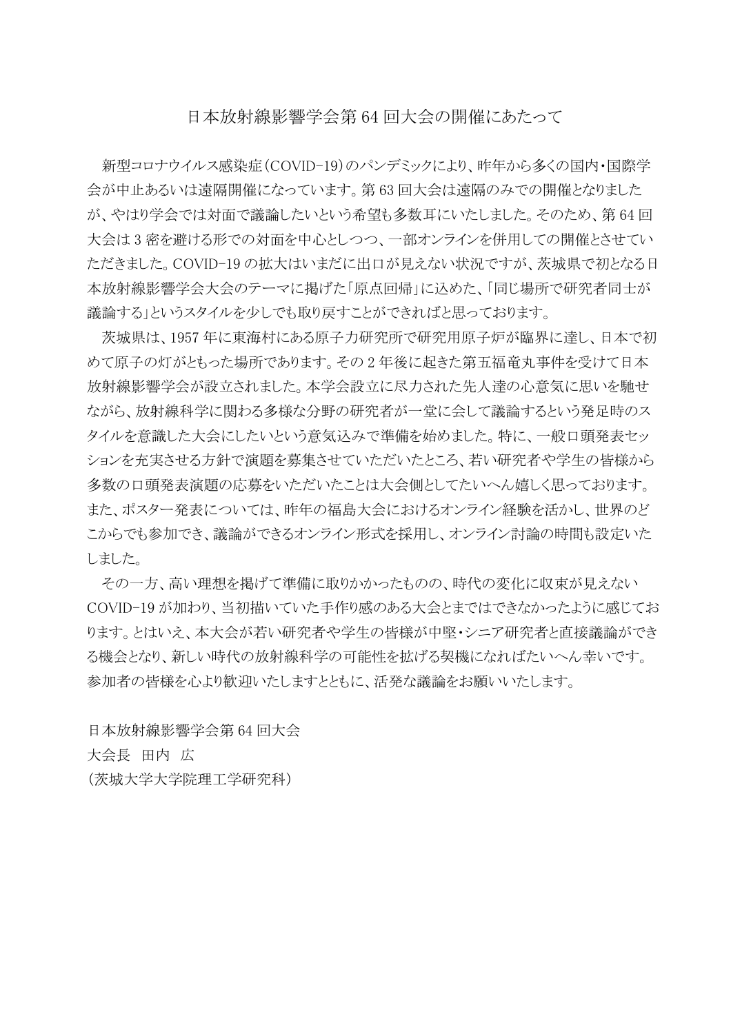## 日本放射線影響学会第 64 回大会の開催にあたって

新型コロナウイルス感染症(COVID-19)のパンデミックにより、昨年から多くの国内・国際学 会が中止あるいは遠隔開催になっています。第63回大会は遠隔のみでの開催となりました が、やはり学会では対面で議論したいという希望も多数耳にいたしました。そのため、第64回 大会は3密を避ける形での対面を中心としつつ、一部オンラインを併用しての開催とさせてい ただきました。COVID-19 の拡大はいまだに出口が見えない状況ですが、茨城県で初となる日 本放射線影響学会大会のテーマに掲げた「原点回帰」に込めた、「同じ場所で研究者同士が 議論する」というスタイルを少しでも取り戻すことができればと思っております。

茨城県は、1957 年に東海村にある原子力研究所で研究用原子炉が臨界に達し、日本で初 めて原子の灯がともった場所であります。その2年後に起きた第五福竜丸事件を受けて日本 放射線影響学会が設立されました。本学会設立に尽力された先人達の心意気に思いを馳せ ながら、放射線科学に関わる多様な分野の研究者が一堂に会して議論するという発足時のス タイルを意識した大会にしたいという意気込みで準備を始めました。特に、一般口頭発表セッ ションを充実させる方針で演題を募集させていただいたところ、若い研究者や学生の皆様から 多数の口頭発表演題の応募をいただいたことは大会側としてたいへん嬉しく思っております。 また、ポスター発表については、昨年の福島大会におけるオンライン経験を活かし、世界のど こからでも参加でき、議論ができるオンライン形式を採用し、オンライン討論の時間も設定いた しました。

その一方、高い理想を掲げて準備に取りかかったものの、時代の変化に収束が見えない COVID-19 が加わり、当初描いていた手作り感のある大会とまではできなかったように感じてお ります。とはいえ、本大会が若い研究者や学生の皆様が中堅・シニア研究者と直接議論ができ る機会となり、新しい時代の放射線科学の可能性を拡げる契機になればたいへん幸いです。 参加者の皆様を心より歓迎いたしますとともに、活発な議論をお願いいたします。

日本放射線影響学会第 64 回大会 大会長 田内 広 (茨城大学大学院理工学研究科)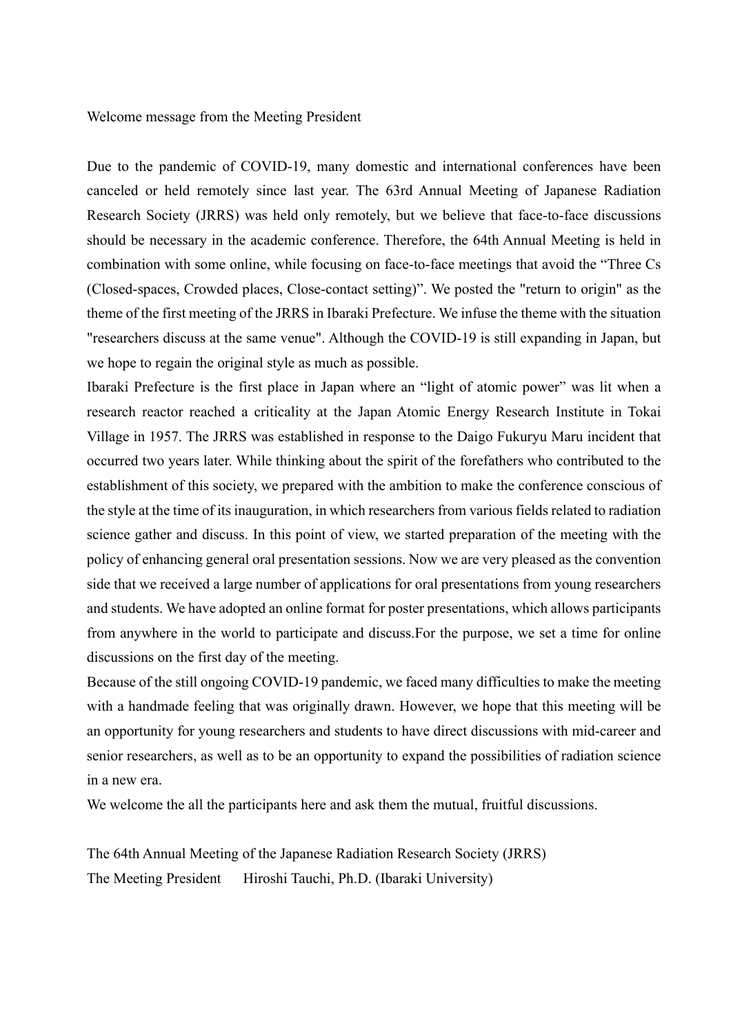Welcome message from the Meeting President

Due to the pandemic of COVID-19, many domestic and international conferences have been canceled or held remotely since last year. The 63rd Annual Meeting of Japanese Radiation Research Society (JRRS) was held only remotely, but we believe that face-to-face discussions should be necessary in the academic conference. Therefore, the 64th Annual Meeting is held in combination with some online, while focusing on face-to-face meetings that avoid the "Three Cs (Closed-spaces, Crowded places, Close-contact setting)". We posted the "return to origin" as the theme of the first meeting of the JRRS in Ibaraki Prefecture. We infuse the theme with the situation "researchers discuss at the same venue". Although the COVID-19 is still expanding in Japan, but we hope to regain the original style as much as possible.

Ibaraki Prefecture is the first place in Japan where an "light of atomic power" was lit when a research reactor reached a criticality at the Japan Atomic Energy Research Institute in Tokai Village in 1957. The JRRS was established in response to the Daigo Fukuryu Maru incident that occurred two years later. While thinking about the spirit of the forefathers who contributed to the establishment of this society, we prepared with the ambition to make the conference conscious of the style at the time of its inauguration, in which researchers from various fields related to radiation science gather and discuss. In this point of view, we started preparation of the meeting with the policy of enhancing general oral presentation sessions. Now we are very pleased as the convention side that we received a large number of applications for oral presentations from young researchers and students. We have adopted an online format for poster presentations, which allows participants from anywhere in the world to participate and discuss.For the purpose, we set a time for online discussions on the first day of the meeting.

Because of the still ongoing COVID-19 pandemic, we faced many difficulties to make the meeting with a handmade feeling that was originally drawn. However, we hope that this meeting will be an opportunity for young researchers and students to have direct discussions with mid-career and senior researchers, as well as to be an opportunity to expand the possibilities of radiation science in a new era.

We welcome the all the participants here and ask them the mutual, fruitful discussions.

The 64th Annual Meeting of the Japanese Radiation Research Society (JRRS) The Meeting President Hiroshi Tauchi, Ph.D. (Ibaraki University)